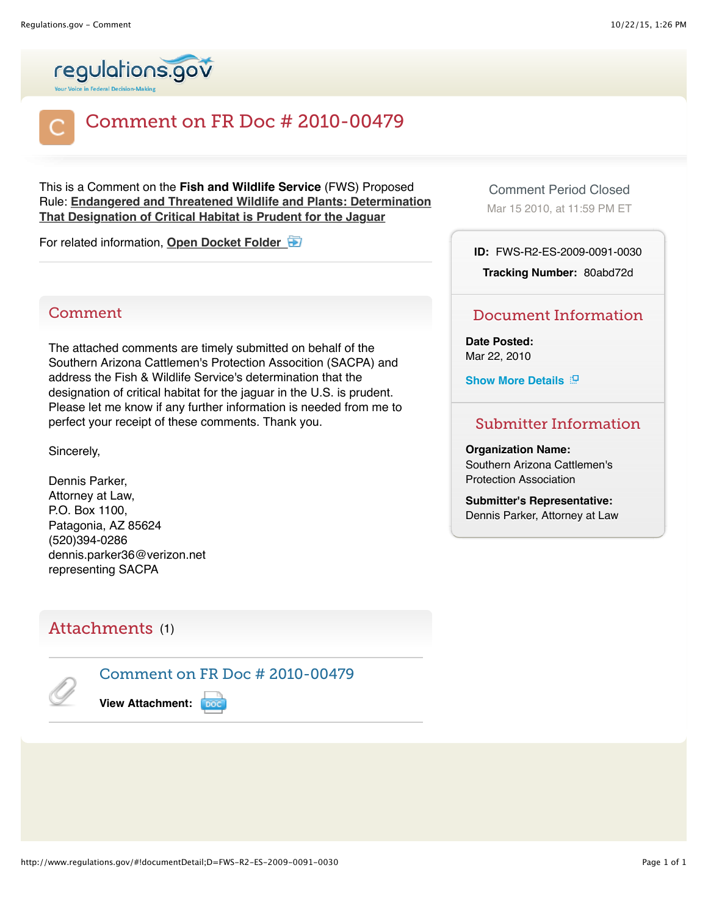



# Comment on FR Doc # 2010-00479

This is a Comment on the **Fish and Wildlife Service** (FWS) Proposed Rule: **[Endangered and Threatened Wildlife and Plants: Determination](http://www.regulations.gov/#!documentDetail;D=FWS-R2-ES-2009-0091-0001) That Designation of Critical Habitat is Prudent for the Jaguar**

For related information, **[Open Docket Folder](http://www.regulations.gov/#!docketDetail;D=FWS-R2-ES-2009-0091)** 

## **Comment**

The attached comments are timely submitted on behalf of the Southern Arizona Cattlemen's Protection Assocition (SACPA) and address the Fish & Wildlife Service's determination that the designation of critical habitat for the jaguar in the U.S. is prudent. Please let me know if any further information is needed from me to perfect your receipt of these comments. Thank you.

Sincerely,

Dennis Parker, Attorney at Law, P.O. Box 1100, Patagonia, AZ 85624 (520)394-0286 dennis.parker36@verizon.net representing SACPA

## Attachments (1)



Comment on FR Doc # 2010-00479

**View Attachment:**

Comment Period Closed

Mar 15 2010, at 11:59 PM ET

**ID:** FWS-R2-ES-2009-0091-0030

**Tracking Number:** 80abd72d

### Document Information

**Date Posted:** Mar 22, 2010

**Show More Details** 

### Submitter Information

#### **Organization Name:**

Southern Arizona Cattlemen's Protection Association

**Submitter's Representative:** Dennis Parker, Attorney at Law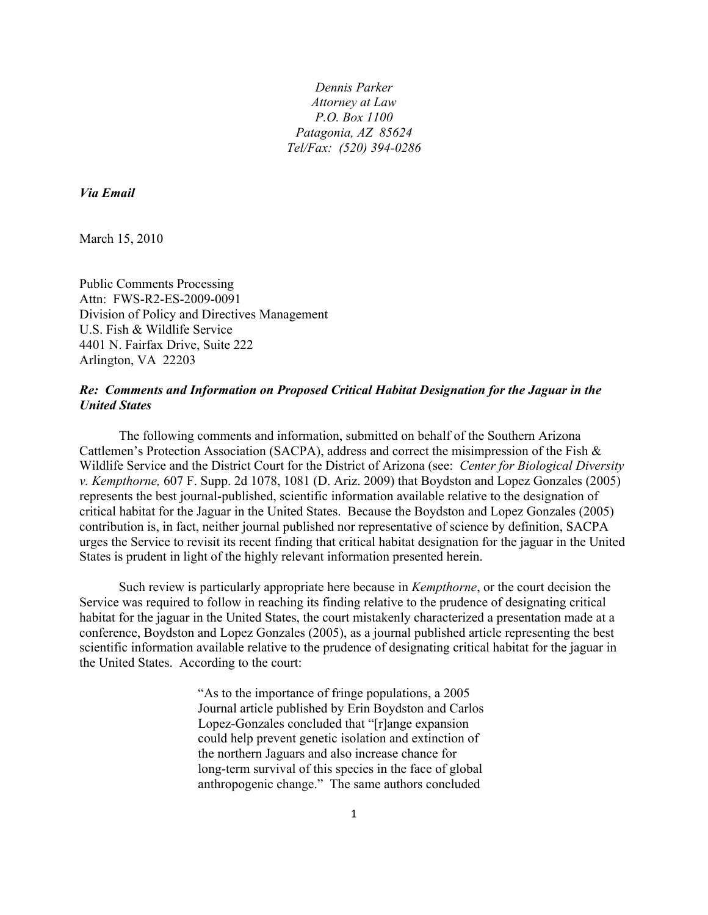*Dennis Parker Attorney at Law P.O. Box 1100 Patagonia, AZ 85624 Tel/Fax: (520) 394-0286*

*Via Email*

March 15, 2010

Public Comments Processing Attn: FWS-R2-ES-2009-0091 Division of Policy and Directives Management U.S. Fish & Wildlife Service 4401 N. Fairfax Drive, Suite 222 Arlington, VA 22203

#### *Re: Comments and Information on Proposed Critical Habitat Designation for the Jaguar in the United States*

The following comments and information, submitted on behalf of the Southern Arizona Cattlemen's Protection Association (SACPA), address and correct the misimpression of the Fish & Wildlife Service and the District Court for the District of Arizona (see: *Center for Biological Diversity v. Kempthorne,* 607 F. Supp. 2d 1078, 1081 (D. Ariz. 2009) that Boydston and Lopez Gonzales (2005) represents the best journal-published, scientific information available relative to the designation of critical habitat for the Jaguar in the United States. Because the Boydston and Lopez Gonzales (2005) contribution is, in fact, neither journal published nor representative of science by definition, SACPA urges the Service to revisit its recent finding that critical habitat designation for the jaguar in the United States is prudent in light of the highly relevant information presented herein.

Such review is particularly appropriate here because in *Kempthorne*, or the court decision the Service was required to follow in reaching its finding relative to the prudence of designating critical habitat for the jaguar in the United States, the court mistakenly characterized a presentation made at a conference, Boydston and Lopez Gonzales (2005), as a journal published article representing the best scientific information available relative to the prudence of designating critical habitat for the jaguar in the United States. According to the court:

> "As to the importance of fringe populations, a 2005 Journal article published by Erin Boydston and Carlos Lopez-Gonzales concluded that "[r]ange expansion could help prevent genetic isolation and extinction of the northern Jaguars and also increase chance for long-term survival of this species in the face of global anthropogenic change." The same authors concluded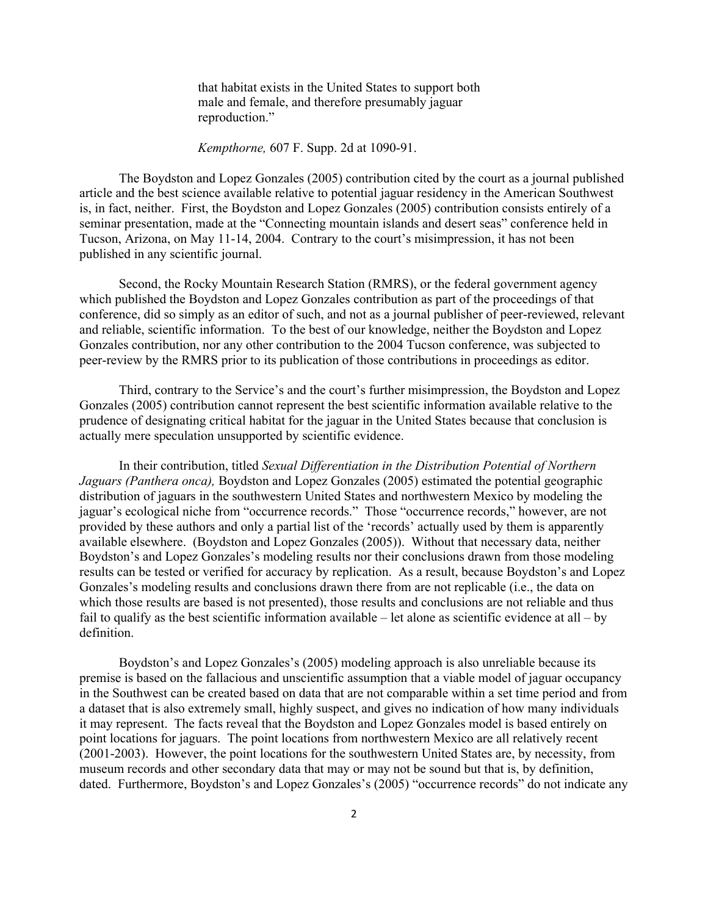that habitat exists in the United States to support both male and female, and therefore presumably jaguar reproduction."

#### *Kempthorne,* 607 F. Supp. 2d at 1090-91.

The Boydston and Lopez Gonzales (2005) contribution cited by the court as a journal published article and the best science available relative to potential jaguar residency in the American Southwest is, in fact, neither. First, the Boydston and Lopez Gonzales (2005) contribution consists entirely of a seminar presentation, made at the "Connecting mountain islands and desert seas" conference held in Tucson, Arizona, on May 11-14, 2004. Contrary to the court's misimpression, it has not been published in any scientific journal.

Second, the Rocky Mountain Research Station (RMRS), or the federal government agency which published the Boydston and Lopez Gonzales contribution as part of the proceedings of that conference, did so simply as an editor of such, and not as a journal publisher of peer-reviewed, relevant and reliable, scientific information. To the best of our knowledge, neither the Boydston and Lopez Gonzales contribution, nor any other contribution to the 2004 Tucson conference, was subjected to peer-review by the RMRS prior to its publication of those contributions in proceedings as editor.

Third, contrary to the Service's and the court's further misimpression, the Boydston and Lopez Gonzales (2005) contribution cannot represent the best scientific information available relative to the prudence of designating critical habitat for the jaguar in the United States because that conclusion is actually mere speculation unsupported by scientific evidence.

In their contribution, titled *Sexual Differentiation in the Distribution Potential of Northern Jaguars (Panthera onca),* Boydston and Lopez Gonzales (2005) estimated the potential geographic distribution of jaguars in the southwestern United States and northwestern Mexico by modeling the jaguar's ecological niche from "occurrence records." Those "occurrence records," however, are not provided by these authors and only a partial list of the 'records' actually used by them is apparently available elsewhere. (Boydston and Lopez Gonzales (2005)). Without that necessary data, neither Boydston's and Lopez Gonzales's modeling results nor their conclusions drawn from those modeling results can be tested or verified for accuracy by replication. As a result, because Boydston's and Lopez Gonzales's modeling results and conclusions drawn there from are not replicable (i.e., the data on which those results are based is not presented), those results and conclusions are not reliable and thus fail to qualify as the best scientific information available – let alone as scientific evidence at all – by definition.

Boydston's and Lopez Gonzales's (2005) modeling approach is also unreliable because its premise is based on the fallacious and unscientific assumption that a viable model of jaguar occupancy in the Southwest can be created based on data that are not comparable within a set time period and from a dataset that is also extremely small, highly suspect, and gives no indication of how many individuals it may represent. The facts reveal that the Boydston and Lopez Gonzales model is based entirely on point locations for jaguars. The point locations from northwestern Mexico are all relatively recent (2001-2003). However, the point locations for the southwestern United States are, by necessity, from museum records and other secondary data that may or may not be sound but that is, by definition, dated. Furthermore, Boydston's and Lopez Gonzales's (2005) "occurrence records" do not indicate any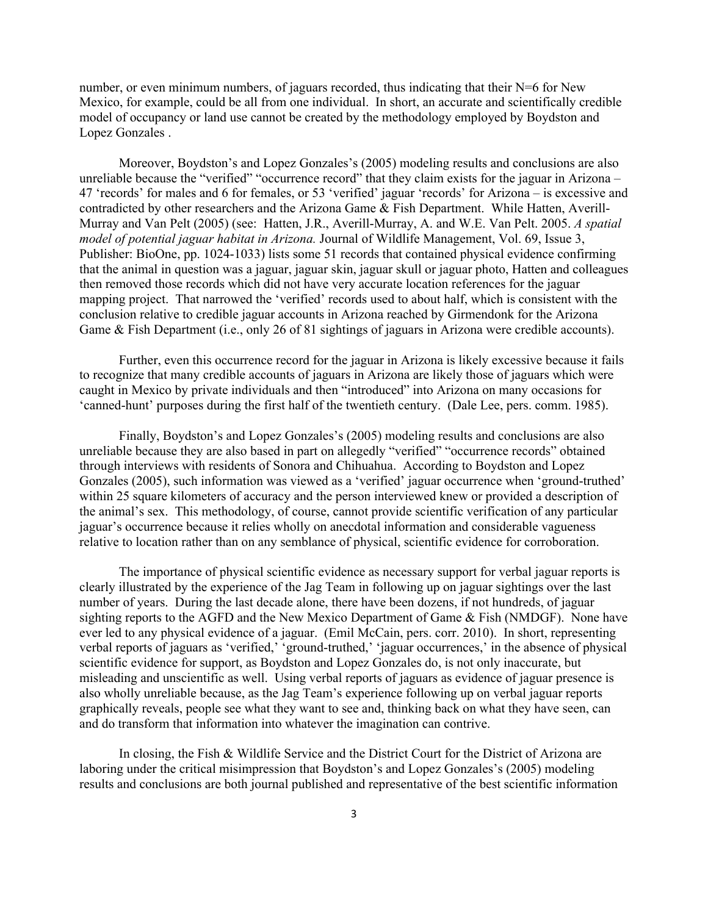number, or even minimum numbers, of jaguars recorded, thus indicating that their  $N=6$  for New Mexico, for example, could be all from one individual. In short, an accurate and scientifically credible model of occupancy or land use cannot be created by the methodology employed by Boydston and Lopez Gonzales .

Moreover, Boydston's and Lopez Gonzales's (2005) modeling results and conclusions are also unreliable because the "verified" "occurrence record" that they claim exists for the jaguar in Arizona – 47 'records' for males and 6 for females, or 53 'verified' jaguar 'records' for Arizona – is excessive and contradicted by other researchers and the Arizona Game & Fish Department. While Hatten, Averill-Murray and Van Pelt (2005) (see: Hatten, J.R., Averill-Murray, A. and W.E. Van Pelt. 2005. *A spatial model of potential jaguar habitat in Arizona.* Journal of Wildlife Management, Vol. 69, Issue 3, Publisher: BioOne, pp. 1024-1033) lists some 51 records that contained physical evidence confirming that the animal in question was a jaguar, jaguar skin, jaguar skull or jaguar photo, Hatten and colleagues then removed those records which did not have very accurate location references for the jaguar mapping project. That narrowed the 'verified' records used to about half, which is consistent with the conclusion relative to credible jaguar accounts in Arizona reached by Girmendonk for the Arizona Game & Fish Department (i.e., only 26 of 81 sightings of jaguars in Arizona were credible accounts).

Further, even this occurrence record for the jaguar in Arizona is likely excessive because it fails to recognize that many credible accounts of jaguars in Arizona are likely those of jaguars which were caught in Mexico by private individuals and then "introduced" into Arizona on many occasions for 'canned-hunt' purposes during the first half of the twentieth century. (Dale Lee, pers. comm. 1985).

Finally, Boydston's and Lopez Gonzales's (2005) modeling results and conclusions are also unreliable because they are also based in part on allegedly "verified" "occurrence records" obtained through interviews with residents of Sonora and Chihuahua. According to Boydston and Lopez Gonzales (2005), such information was viewed as a 'verified' jaguar occurrence when 'ground-truthed' within 25 square kilometers of accuracy and the person interviewed knew or provided a description of the animal's sex. This methodology, of course, cannot provide scientific verification of any particular jaguar's occurrence because it relies wholly on anecdotal information and considerable vagueness relative to location rather than on any semblance of physical, scientific evidence for corroboration.

The importance of physical scientific evidence as necessary support for verbal jaguar reports is clearly illustrated by the experience of the Jag Team in following up on jaguar sightings over the last number of years. During the last decade alone, there have been dozens, if not hundreds, of jaguar sighting reports to the AGFD and the New Mexico Department of Game & Fish (NMDGF). None have ever led to any physical evidence of a jaguar. (Emil McCain, pers. corr. 2010). In short, representing verbal reports of jaguars as 'verified,' 'ground-truthed,' 'jaguar occurrences,' in the absence of physical scientific evidence for support, as Boydston and Lopez Gonzales do, is not only inaccurate, but misleading and unscientific as well. Using verbal reports of jaguars as evidence of jaguar presence is also wholly unreliable because, as the Jag Team's experience following up on verbal jaguar reports graphically reveals, people see what they want to see and, thinking back on what they have seen, can and do transform that information into whatever the imagination can contrive.

In closing, the Fish & Wildlife Service and the District Court for the District of Arizona are laboring under the critical misimpression that Boydston's and Lopez Gonzales's (2005) modeling results and conclusions are both journal published and representative of the best scientific information